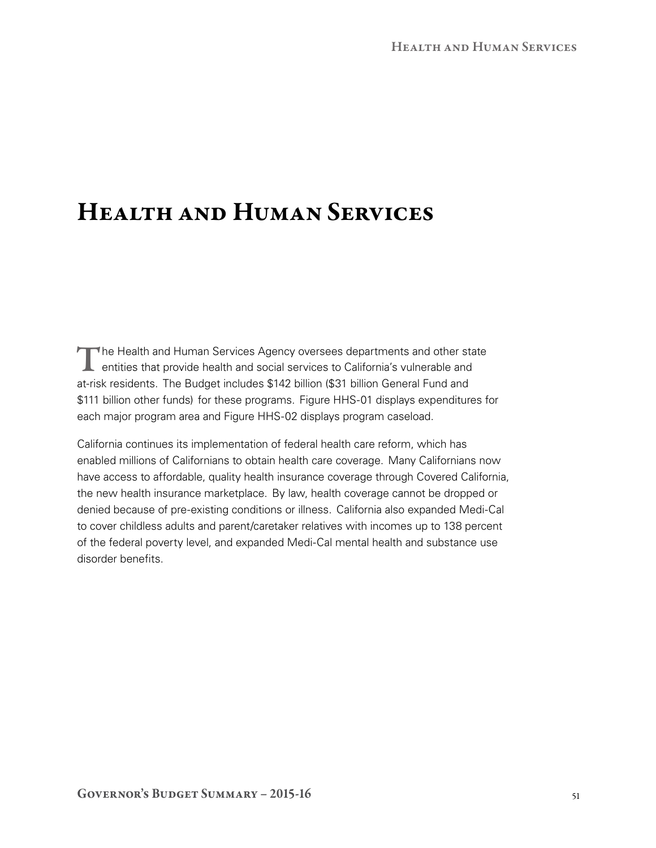# Health and Human Services

The Health and Human Services Agency oversees departments and other state<br>
entities that provide health and social services to California's vulnerable and<br>
The Services of California's vulnerable and at-risk residents. The Budget includes \$142 billion (\$31 billion General Fund and \$111 billion other funds) for these programs. Figure HHS-01 displays expenditures for each major program area and Figure HHS-02 displays program caseload.

California continues its implementation of federal health care reform, which has enabled millions of Californians to obtain health care coverage. Many Californians now have access to affordable, quality health insurance coverage through Covered California, the new health insurance marketplace. By law, health coverage cannot be dropped or denied because of pre-existing conditions or illness. California also expanded Medi-Cal to cover childless adults and parent/caretaker relatives with incomes up to 138 percent of the federal poverty level, and expanded Medi‑Cal mental health and substance use disorder benefits.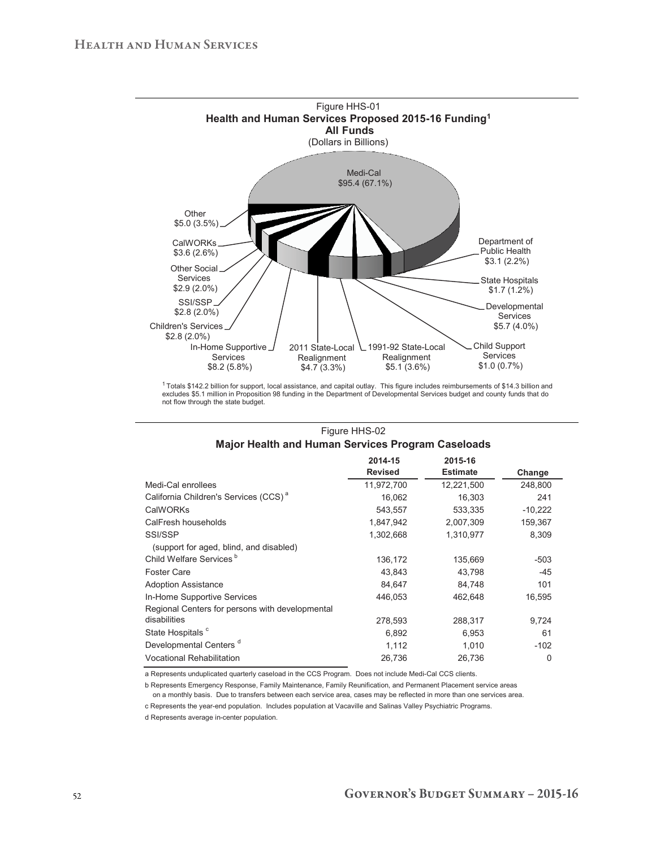

<sup>&</sup>lt;sup>1</sup> Totals \$142.2 billion for support, local assistance, and capital outlay. This figure includes reimbursements of \$14.3 billion and<br>excludes \$5.1 million in Proposition 98 funding in the Department of Developmental Serv not flow through the state budget.

| major Health and Human Services Program Caseloads |                    |                 |           |  |  |  |  |  |  |
|---------------------------------------------------|--------------------|-----------------|-----------|--|--|--|--|--|--|
|                                                   | 2015-16<br>2014-15 |                 |           |  |  |  |  |  |  |
|                                                   | <b>Revised</b>     | <b>Estimate</b> | Change    |  |  |  |  |  |  |
| Medi-Cal enrollees                                | 11,972,700         | 12,221,500      | 248,800   |  |  |  |  |  |  |
| California Children's Services (CCS) <sup>a</sup> | 16,062             | 16,303          | 241       |  |  |  |  |  |  |
| CalWORKs                                          | 543,557            | 533,335         | $-10,222$ |  |  |  |  |  |  |
| CalFresh households                               | 1,847,942          | 2,007,309       | 159,367   |  |  |  |  |  |  |
| SSI/SSP                                           | 1,302,668          | 1,310,977       | 8,309     |  |  |  |  |  |  |
| (support for aged, blind, and disabled)           |                    |                 |           |  |  |  |  |  |  |
| Child Welfare Services <sup>b</sup>               | 136,172            | 135,669         | -503      |  |  |  |  |  |  |
| <b>Foster Care</b>                                | 43,843             | 43,798          | $-45$     |  |  |  |  |  |  |
| <b>Adoption Assistance</b>                        | 84,647             | 84,748          | 101       |  |  |  |  |  |  |
| In-Home Supportive Services                       | 446,053            | 462,648         | 16,595    |  |  |  |  |  |  |
| Regional Centers for persons with developmental   |                    |                 |           |  |  |  |  |  |  |
| disabilities                                      | 278,593            | 288,317         | 9,724     |  |  |  |  |  |  |
| State Hospitals <sup>c</sup>                      | 6,892              | 6,953           | 61        |  |  |  |  |  |  |
| Developmental Centers <sup>d</sup>                | 1,112              | 1,010           | $-102$    |  |  |  |  |  |  |
| <b>Vocational Rehabilitation</b>                  | 26,736             | 26,736          | $\Omega$  |  |  |  |  |  |  |

## Figure HHS-02 **Major Health and Human Services Program Caseloads**

a Represents unduplicated quarterly caseload in the CCS Program. Does not include Medi-Cal CCS clients.

b Represents Emergency Response, Family Maintenance, Family Reunification, and Permanent Placement service areas on a monthly basis. Due to transfers between each service area, cases may be reflected in more than one services area.

c Represents the year-end population. Includes population at Vacaville and Salinas Valley Psychiatric Programs.

d Represents average in-center population.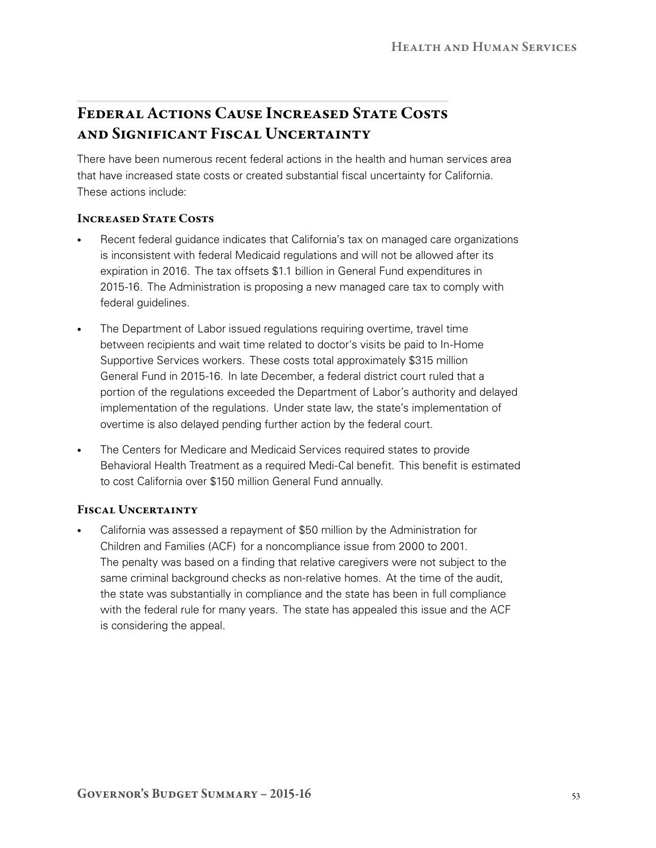## Federal Actions Cause Increased State Costs and Significant Fiscal Uncertainty

There have been numerous recent federal actions in the health and human services area that have increased state costs or created substantial fiscal uncertainty for California. These actions include:

## Increased State Costs

- Recent federal guidance indicates that California's tax on managed care organizations is inconsistent with federal Medicaid regulations and will not be allowed after its expiration in 2016. The tax offsets \$1.1 billion in General Fund expenditures in 2015‑16. The Administration is proposing a new managed care tax to comply with federal quidelines.
- The Department of Labor issued regulations requiring overtime, travel time between recipients and wait time related to doctor's visits be paid to In-Home Supportive Services workers. These costs total approximately \$315 million General Fund in 2015‑16. In late December, a federal district court ruled that a portion of the regulations exceeded the Department of Labor's authority and delayed implementation of the regulations. Under state law, the state's implementation of overtime is also delayed pending further action by the federal court.
- • The Centers for Medicare and Medicaid Services required states to provide Behavioral Health Treatment as a required Medi‑Cal benefit. This benefit is estimated to cost California over \$150 million General Fund annually.

## FISCAL UNCERTAINTY

California was assessed a repayment of \$50 million by the Administration for Children and Families (ACF) for a noncompliance issue from 2000 to 2001. The penalty was based on a finding that relative caregivers were not subject to the same criminal background checks as non-relative homes. At the time of the audit, the state was substantially in compliance and the state has been in full compliance with the federal rule for many years. The state has appealed this issue and the ACF is considering the appeal.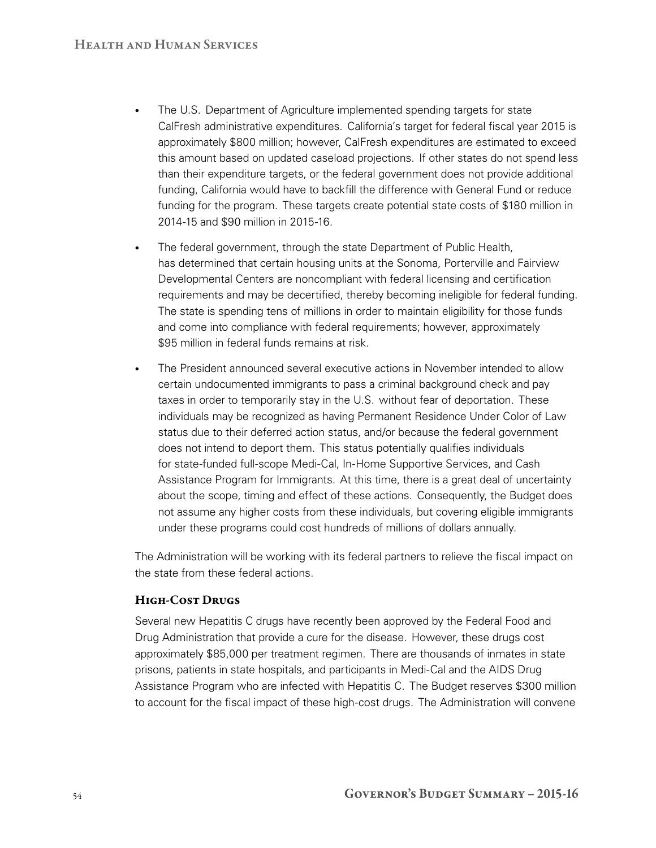- The U.S. Department of Agriculture implemented spending targets for state CalFresh administrative expenditures. California's target for federal fiscal year 2015 is approximately \$800 million; however, CalFresh expenditures are estimated to exceed this amount based on updated caseload projections. If other states do not spend less than their expenditure targets, or the federal government does not provide additional funding, California would have to backfill the difference with General Fund or reduce funding for the program. These targets create potential state costs of \$180 million in 2014‑15 and \$90 million in 2015‑16.
- The federal government, through the state Department of Public Health, has determined that certain housing units at the Sonoma, Porterville and Fairview Developmental Centers are noncompliant with federal licensing and certification requirements and may be decertified, thereby becoming ineligible for federal funding. The state is spending tens of millions in order to maintain eligibility for those funds and come into compliance with federal requirements; however, approximately \$95 million in federal funds remains at risk.
- The President announced several executive actions in November intended to allow certain undocumented immigrants to pass a criminal background check and pay taxes in order to temporarily stay in the U.S. without fear of deportation. These individuals may be recognized as having Permanent Residence Under Color of Law status due to their deferred action status, and/or because the federal government does not intend to deport them. This status potentially qualifies individuals for state-funded full-scope Medi-Cal, In-Home Supportive Services, and Cash Assistance Program for Immigrants. At this time, there is a great deal of uncertainty about the scope, timing and effect of these actions. Consequently, the Budget does not assume any higher costs from these individuals, but covering eligible immigrants under these programs could cost hundreds of millions of dollars annually.

The Administration will be working with its federal partners to relieve the fiscal impact on the state from these federal actions.

## High-Cost Drugs

Several new Hepatitis C drugs have recently been approved by the Federal Food and Drug Administration that provide a cure for the disease. However, these drugs cost approximately \$85,000 per treatment regimen. There are thousands of inmates in state prisons, patients in state hospitals, and participants in Medi‑Cal and the AIDS Drug Assistance Program who are infected with Hepatitis C. The Budget reserves \$300 million to account for the fiscal impact of these high-cost drugs. The Administration will convene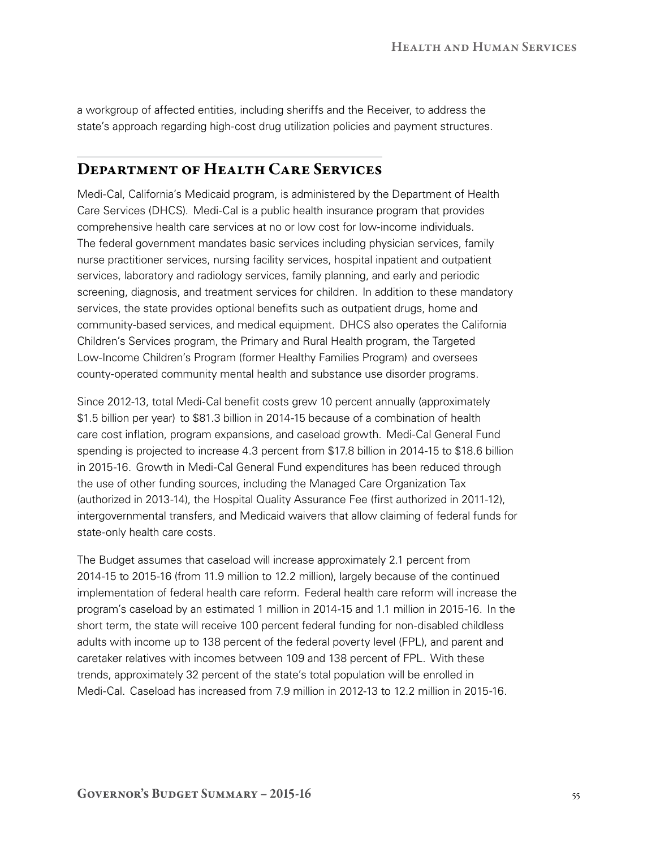a workgroup of affected entities, including sheriffs and the Receiver, to address the state's approach regarding high-cost drug utilization policies and payment structures.

## Department of Health Care Services

Medi‑Cal, California's Medicaid program, is administered by the Department of Health Care Services (DHCS). Medi-Cal is a public health insurance program that provides comprehensive health care services at no or low cost for low‑income individuals. The federal government mandates basic services including physician services, family nurse practitioner services, nursing facility services, hospital inpatient and outpatient services, laboratory and radiology services, family planning, and early and periodic screening, diagnosis, and treatment services for children. In addition to these mandatory services, the state provides optional benefits such as outpatient drugs, home and community‑based services, and medical equipment. DHCS also operates the California Children's Services program, the Primary and Rural Health program, the Targeted Low‑Income Children's Program (former Healthy Families Program) and oversees county‑operated community mental health and substance use disorder programs.

Since 2012-13, total Medi-Cal benefit costs grew 10 percent annually (approximately \$1.5 billion per year) to \$81.3 billion in 2014‑15 because of a combination of health care cost inflation, program expansions, and caseload growth. Medi‑Cal General Fund spending is projected to increase 4.3 percent from \$17.8 billion in 2014-15 to \$18.6 billion in 2015‑16. Growth in Medi‑Cal General Fund expenditures has been reduced through the use of other funding sources, including the Managed Care Organization Tax (authorized in 2013-14), the Hospital Quality Assurance Fee (first authorized in 2011-12), intergovernmental transfers, and Medicaid waivers that allow claiming of federal funds for state-only health care costs.

The Budget assumes that caseload will increase approximately 2.1 percent from 2014‑15 to 2015‑16 (from 11.9 million to 12.2 million), largely because of the continued implementation of federal health care reform. Federal health care reform will increase the program's caseload by an estimated 1 million in 2014‑15 and 1.1 million in 2015‑16. In the short term, the state will receive 100 percent federal funding for non-disabled childless adults with income up to 138 percent of the federal poverty level (FPL), and parent and caretaker relatives with incomes between 109 and 138 percent of FPL. With these trends, approximately 32 percent of the state's total population will be enrolled in Medi-Cal. Caseload has increased from 7.9 million in 2012-13 to 12.2 million in 2015-16.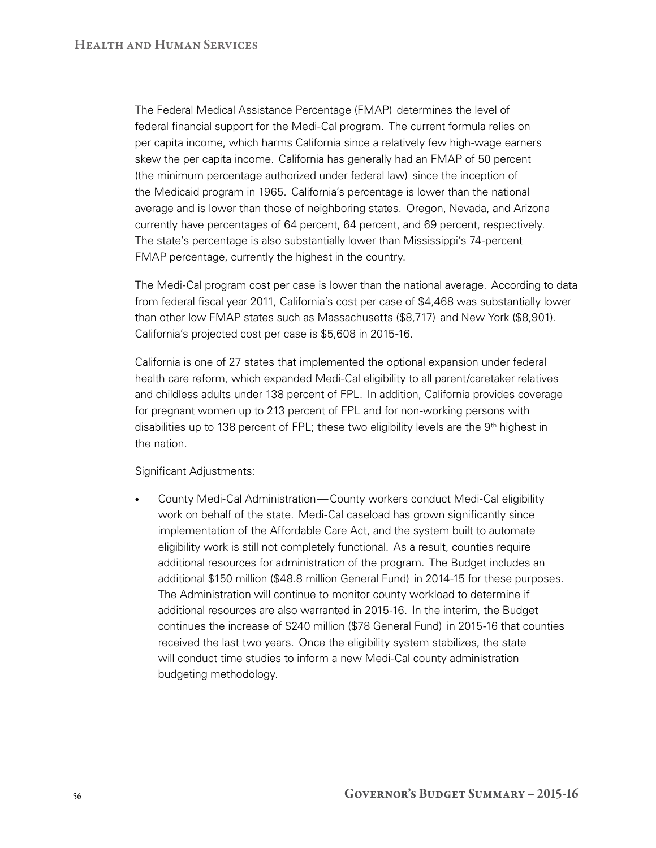The Federal Medical Assistance Percentage (FMAP) determines the level of federal financial support for the Medi‑Cal program. The current formula relies on per capita income, which harms California since a relatively few high-wage earners skew the per capita income. California has generally had an FMAP of 50 percent (the minimum percentage authorized under federal law) since the inception of the Medicaid program in 1965. California's percentage is lower than the national average and is lower than those of neighboring states. Oregon, Nevada, and Arizona currently have percentages of 64 percent, 64 percent, and 69 percent, respectively. The state's percentage is also substantially lower than Mississippi's 74‑percent FMAP percentage, currently the highest in the country.

The Medi‑Cal program cost per case is lower than the national average. According to data from federal fiscal year 2011, California's cost per case of \$4,468 was substantially lower than other low FMAP states such as Massachusetts (\$8,717) and New York (\$8,901). California's projected cost per case is \$5,608 in 2015-16.

California is one of 27 states that implemented the optional expansion under federal health care reform, which expanded Medi-Cal eligibility to all parent/caretaker relatives and childless adults under 138 percent of FPL. In addition, California provides coverage for pregnant women up to 213 percent of FPL and for non‑working persons with disabilities up to 138 percent of FPL; these two eligibility levels are the  $9<sup>th</sup>$  highest in the nation.

Significant Adjustments:

• County Medi‑Cal Administration—County workers conduct Medi‑Cal eligibility work on behalf of the state. Medi-Cal caseload has grown significantly since implementation of the Affordable Care Act, and the system built to automate eligibility work is still not completely functional. As a result, counties require additional resources for administration of the program. The Budget includes an additional \$150 million (\$48.8 million General Fund) in 2014‑15 for these purposes. The Administration will continue to monitor county workload to determine if additional resources are also warranted in 2015‑16. In the interim, the Budget continues the increase of \$240 million (\$78 General Fund) in 2015‑16 that counties received the last two years. Once the eligibility system stabilizes, the state will conduct time studies to inform a new Medi-Cal county administration budgeting methodology.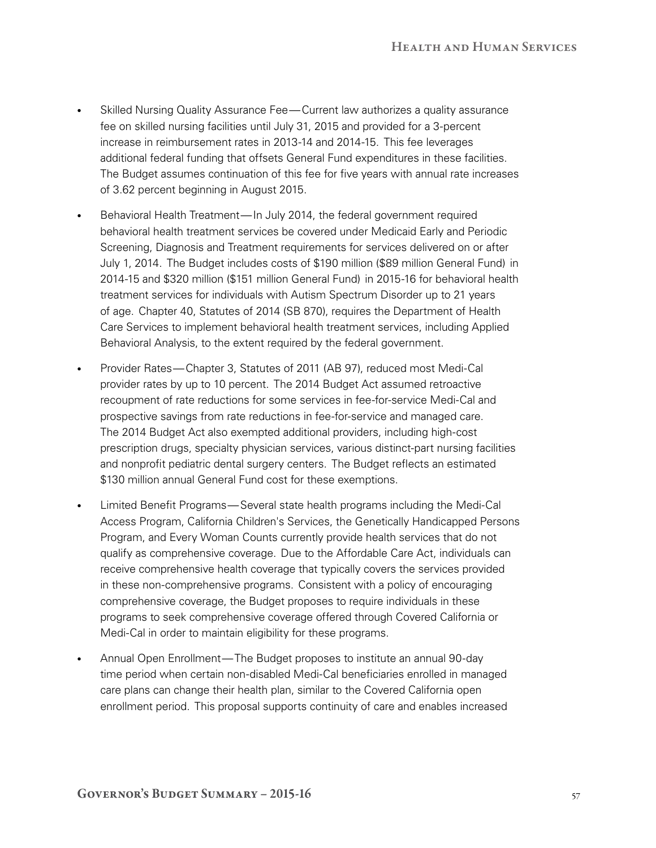- Skilled Nursing Quality Assurance Fee—Current law authorizes a quality assurance fee on skilled nursing facilities until July 31, 2015 and provided for a 3‑percent increase in reimbursement rates in 2013‑14 and 2014‑15. This fee leverages additional federal funding that offsets General Fund expenditures in these facilities. The Budget assumes continuation of this fee for five years with annual rate increases of 3.62 percent beginning in August 2015.
- Behavioral Health Treatment—In July 2014, the federal government required behavioral health treatment services be covered under Medicaid Early and Periodic Screening, Diagnosis and Treatment requirements for services delivered on or after July 1, 2014. The Budget includes costs of \$190 million (\$89 million General Fund) in 2014‑15 and \$320 million (\$151 million General Fund) in 2015‑16 for behavioral health treatment services for individuals with Autism Spectrum Disorder up to 21 years of age. Chapter 40, Statutes of 2014 (SB 870), requires the Department of Health Care Services to implement behavioral health treatment services, including Applied Behavioral Analysis, to the extent required by the federal government.
- Provider Rates—Chapter 3, Statutes of 2011 (AB 97), reduced most Medi-Cal provider rates by up to 10 percent. The 2014 Budget Act assumed retroactive recoupment of rate reductions for some services in fee-for-service Medi-Cal and prospective savings from rate reductions in fee-for-service and managed care. The 2014 Budget Act also exempted additional providers, including high-cost prescription drugs, specialty physician services, various distinct-part nursing facilities and nonprofit pediatric dental surgery centers. The Budget reflects an estimated \$130 million annual General Fund cost for these exemptions.
- Limited Benefit Programs—Several state health programs including the Medi-Cal Access Program, California Children's Services, the Genetically Handicapped Persons Program, and Every Woman Counts currently provide health services that do not qualify as comprehensive coverage. Due to the Affordable Care Act, individuals can receive comprehensive health coverage that typically covers the services provided in these non‑comprehensive programs. Consistent with a policy of encouraging comprehensive coverage, the Budget proposes to require individuals in these programs to seek comprehensive coverage offered through Covered California or Medi-Cal in order to maintain eligibility for these programs.
- Annual Open Enrollment—The Budget proposes to institute an annual 90‑day time period when certain non‑disabled Medi‑Cal beneficiaries enrolled in managed care plans can change their health plan, similar to the Covered California open enrollment period. This proposal supports continuity of care and enables increased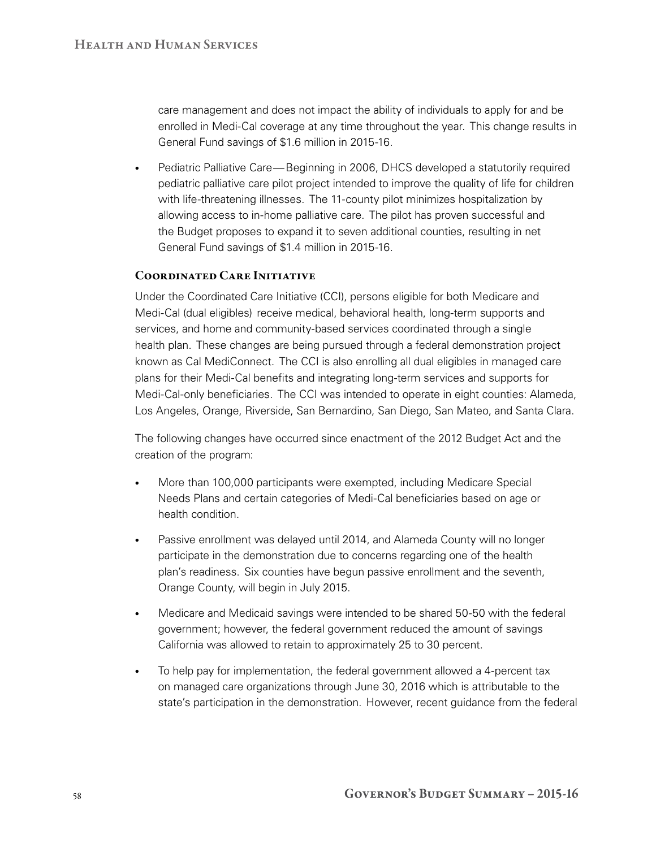care management and does not impact the ability of individuals to apply for and be enrolled in Medi-Cal coverage at any time throughout the year. This change results in General Fund savings of \$1.6 million in 2015-16.

• Pediatric Palliative Care—Beginning in 2006, DHCS developed a statutorily required pediatric palliative care pilot project intended to improve the quality of life for children with life-threatening illnesses. The 11-county pilot minimizes hospitalization by allowing access to in‑home palliative care. The pilot has proven successful and the Budget proposes to expand it to seven additional counties, resulting in net General Fund savings of \$1.4 million in 2015‑16.

## Coordinated Care Initiative

Under the Coordinated Care Initiative (CCI), persons eligible for both Medicare and Medi-Cal (dual eligibles) receive medical, behavioral health, long-term supports and services, and home and community-based services coordinated through a single health plan. These changes are being pursued through a federal demonstration project known as Cal MediConnect. The CCI is also enrolling all dual eligibles in managed care plans for their Medi‑Cal benefits and integrating long‑term services and supports for Medi-Cal-only beneficiaries. The CCI was intended to operate in eight counties: Alameda, Los Angeles, Orange, Riverside, San Bernardino, San Diego, San Mateo, and Santa Clara.

The following changes have occurred since enactment of the 2012 Budget Act and the creation of the program:

- More than 100,000 participants were exempted, including Medicare Special Needs Plans and certain categories of Medi‑Cal beneficiaries based on age or health condition.
- Passive enrollment was delayed until 2014, and Alameda County will no longer participate in the demonstration due to concerns regarding one of the health plan's readiness. Six counties have begun passive enrollment and the seventh, Orange County, will begin in July 2015.
- Medicare and Medicaid savings were intended to be shared 50-50 with the federal government; however, the federal government reduced the amount of savings California was allowed to retain to approximately 25 to 30 percent.
- To help pay for implementation, the federal government allowed a 4-percent tax on managed care organizations through June 30, 2016 which is attributable to the state's participation in the demonstration. However, recent guidance from the federal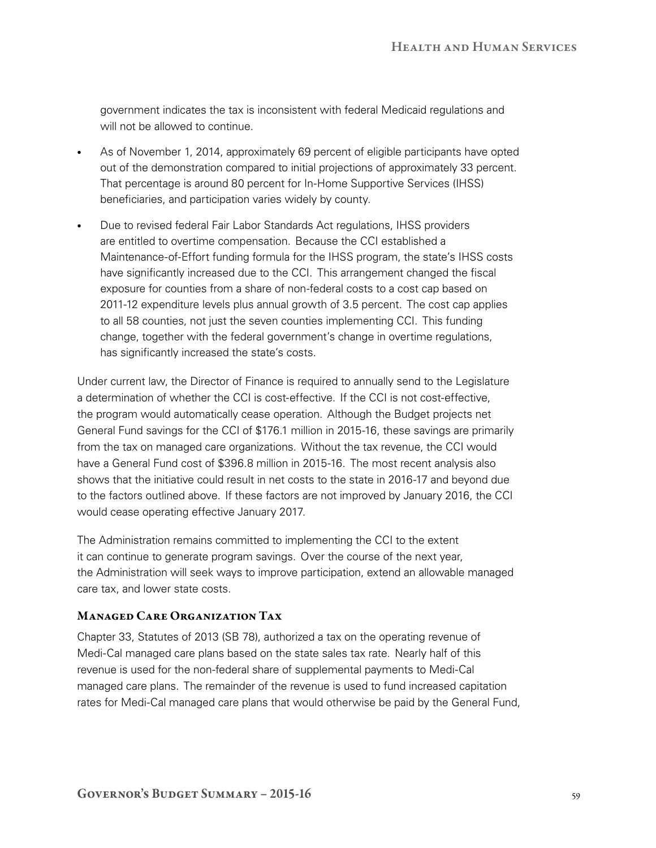government indicates the tax is inconsistent with federal Medicaid regulations and will not be allowed to continue.

- As of November 1, 2014, approximately 69 percent of eligible participants have opted out of the demonstration compared to initial projections of approximately 33 percent. That percentage is around 80 percent for In‑Home Supportive Services (IHSS) beneficiaries, and participation varies widely by county.
- Due to revised federal Fair Labor Standards Act regulations, IHSS providers are entitled to overtime compensation. Because the CCI established a Maintenance‑of‑Effort funding formula for the IHSS program, the state's IHSS costs have significantly increased due to the CCI. This arrangement changed the fiscal exposure for counties from a share of non-federal costs to a cost cap based on 2011‑12 expenditure levels plus annual growth of 3.5 percent. The cost cap applies to all 58 counties, not just the seven counties implementing CCI. This funding change, together with the federal government's change in overtime regulations, has significantly increased the state's costs.

Under current law, the Director of Finance is required to annually send to the Legislature a determination of whether the CCI is cost-effective. If the CCI is not cost-effective, the program would automatically cease operation. Although the Budget projects net General Fund savings for the CCI of \$176.1 million in 2015-16, these savings are primarily from the tax on managed care organizations. Without the tax revenue, the CCI would have a General Fund cost of \$396.8 million in 2015-16. The most recent analysis also shows that the initiative could result in net costs to the state in 2016-17 and beyond due to the factors outlined above. If these factors are not improved by January 2016, the CCI would cease operating effective January 2017.

The Administration remains committed to implementing the CCI to the extent it can continue to generate program savings. Over the course of the next year, the Administration will seek ways to improve participation, extend an allowable managed care tax, and lower state costs.

## Managed Care Organization Tax

Chapter 33, Statutes of 2013 (SB 78), authorized a tax on the operating revenue of Medi-Cal managed care plans based on the state sales tax rate. Nearly half of this revenue is used for the non-federal share of supplemental payments to Medi-Cal managed care plans. The remainder of the revenue is used to fund increased capitation rates for Medi-Cal managed care plans that would otherwise be paid by the General Fund,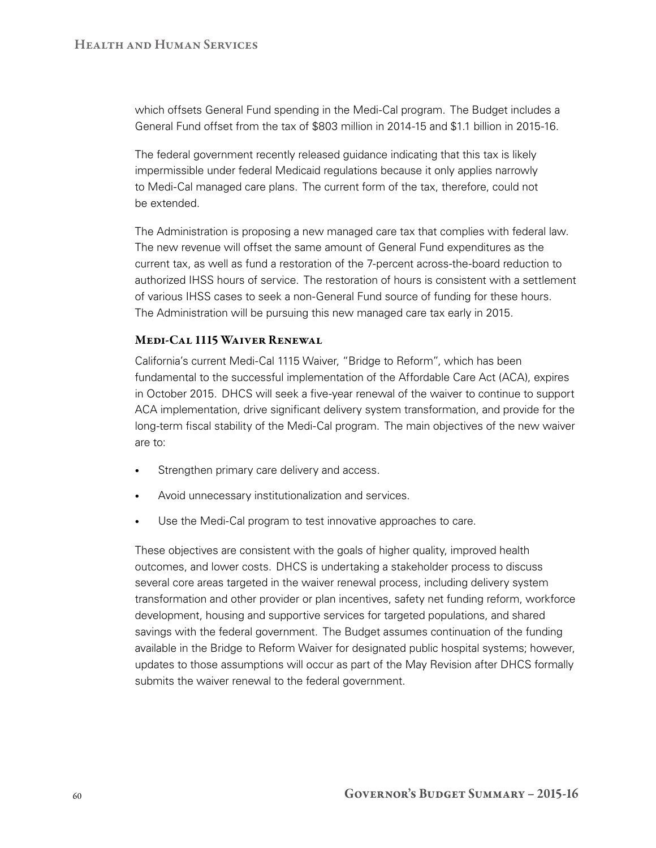which offsets General Fund spending in the Medi-Cal program. The Budget includes a General Fund offset from the tax of \$803 million in 2014-15 and \$1.1 billion in 2015-16.

The federal government recently released guidance indicating that this tax is likely impermissible under federal Medicaid regulations because it only applies narrowly to Medi‑Cal managed care plans. The current form of the tax, therefore, could not be extended.

The Administration is proposing a new managed care tax that complies with federal law. The new revenue will offset the same amount of General Fund expenditures as the current tax, as well as fund a restoration of the 7‑percent across‑the‑board reduction to authorized IHSS hours of service. The restoration of hours is consistent with a settlement of various IHSS cases to seek a non‑General Fund source of funding for these hours. The Administration will be pursuing this new managed care tax early in 2015.

#### Medi-Cal 1115 Waiver Renewal

California's current Medi-Cal 1115 Waiver, "Bridge to Reform", which has been fundamental to the successful implementation of the Affordable Care Act (ACA), expires in October 2015. DHCS will seek a five‑year renewal of the waiver to continue to support ACA implementation, drive significant delivery system transformation, and provide for the long-term fiscal stability of the Medi-Cal program. The main objectives of the new waiver are to:

- Strengthen primary care delivery and access.
- Avoid unnecessary institutionalization and services.
- Use the Medi-Cal program to test innovative approaches to care.

These objectives are consistent with the goals of higher quality, improved health outcomes, and lower costs. DHCS is undertaking a stakeholder process to discuss several core areas targeted in the waiver renewal process, including delivery system transformation and other provider or plan incentives, safety net funding reform, workforce development, housing and supportive services for targeted populations, and shared savings with the federal government. The Budget assumes continuation of the funding available in the Bridge to Reform Waiver for designated public hospital systems; however, updates to those assumptions will occur as part of the May Revision after DHCS formally submits the waiver renewal to the federal government.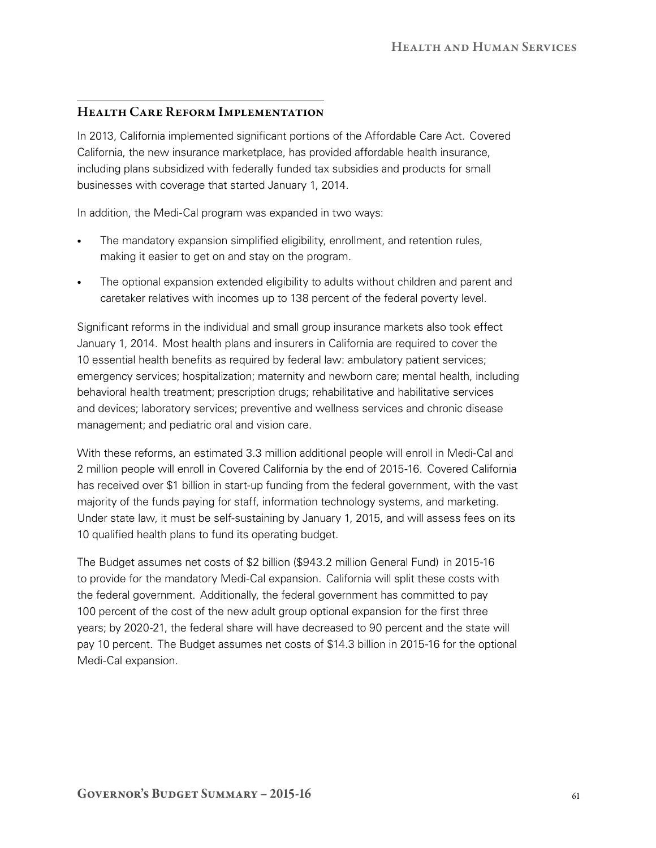## Health Care Reform Implementation

In 2013, California implemented significant portions of the Affordable Care Act. Covered California, the new insurance marketplace, has provided affordable health insurance, including plans subsidized with federally funded tax subsidies and products for small businesses with coverage that started January 1, 2014.

In addition, the Medi-Cal program was expanded in two ways:

- The mandatory expansion simplified eligibility, enrollment, and retention rules, making it easier to get on and stay on the program.
- The optional expansion extended eligibility to adults without children and parent and caretaker relatives with incomes up to 138 percent of the federal poverty level.

Significant reforms in the individual and small group insurance markets also took effect January 1, 2014. Most health plans and insurers in California are required to cover the 10 essential health benefits as required by federal law: ambulatory patient services; emergency services; hospitalization; maternity and newborn care; mental health, including behavioral health treatment; prescription drugs; rehabilitative and habilitative services and devices; laboratory services; preventive and wellness services and chronic disease management; and pediatric oral and vision care.

With these reforms, an estimated 3.3 million additional people will enroll in Medi-Cal and 2 million people will enroll in Covered California by the end of 2015‑16. Covered California has received over \$1 billion in start-up funding from the federal government, with the vast majority of the funds paying for staff, information technology systems, and marketing. Under state law, it must be self-sustaining by January 1, 2015, and will assess fees on its 10 qualified health plans to fund its operating budget.

The Budget assumes net costs of \$2 billion (\$943.2 million General Fund) in 2015‑16 to provide for the mandatory Medi‑Cal expansion. California will split these costs with the federal government. Additionally, the federal government has committed to pay 100 percent of the cost of the new adult group optional expansion for the first three years; by 2020‑21, the federal share will have decreased to 90 percent and the state will pay 10 percent. The Budget assumes net costs of \$14.3 billion in 2015‑16 for the optional Medi-Cal expansion.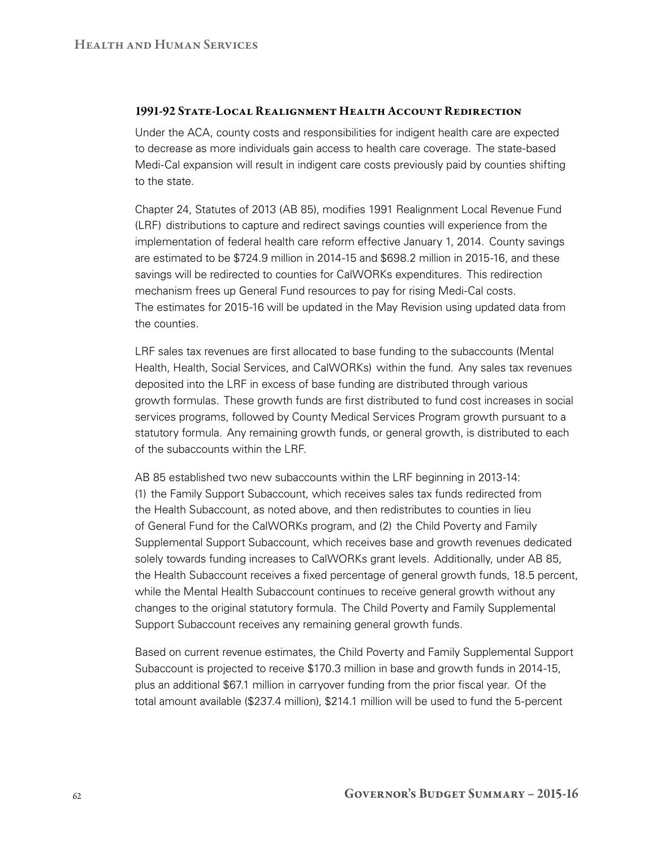#### 1991-92 State-Local Realignment Health Account Redirection

Under the ACA, county costs and responsibilities for indigent health care are expected to decrease as more individuals gain access to health care coverage. The state-based Medi-Cal expansion will result in indigent care costs previously paid by counties shifting to the state.

Chapter 24, Statutes of 2013 (AB 85), modifies 1991 Realignment Local Revenue Fund (LRF) distributions to capture and redirect savings counties will experience from the implementation of federal health care reform effective January 1, 2014. County savings are estimated to be \$724.9 million in 2014‑15 and \$698.2 million in 2015‑16, and these savings will be redirected to counties for CalWORKs expenditures. This redirection mechanism frees up General Fund resources to pay for rising Medi-Cal costs. The estimates for 2015‑16 will be updated in the May Revision using updated data from the counties.

LRF sales tax revenues are first allocated to base funding to the subaccounts (Mental Health, Health, Social Services, and CalWORKs) within the fund. Any sales tax revenues deposited into the LRF in excess of base funding are distributed through various growth formulas. These growth funds are first distributed to fund cost increases in social services programs, followed by County Medical Services Program growth pursuant to a statutory formula. Any remaining growth funds, or general growth, is distributed to each of the subaccounts within the LRF.

AB 85 established two new subaccounts within the LRF beginning in 2013-14: (1) the Family Support Subaccount, which receives sales tax funds redirected from the Health Subaccount, as noted above, and then redistributes to counties in lieu of General Fund for the CalWORKs program, and (2) the Child Poverty and Family Supplemental Support Subaccount, which receives base and growth revenues dedicated solely towards funding increases to CalWORKs grant levels. Additionally, under AB 85, the Health Subaccount receives a fixed percentage of general growth funds, 18.5 percent, while the Mental Health Subaccount continues to receive general growth without any changes to the original statutory formula. The Child Poverty and Family Supplemental Support Subaccount receives any remaining general growth funds.

Based on current revenue estimates, the Child Poverty and Family Supplemental Support Subaccount is projected to receive \$170.3 million in base and growth funds in 2014-15, plus an additional \$67.1 million in carryover funding from the prior fiscal year. Of the total amount available (\$237.4 million), \$214.1 million will be used to fund the 5-percent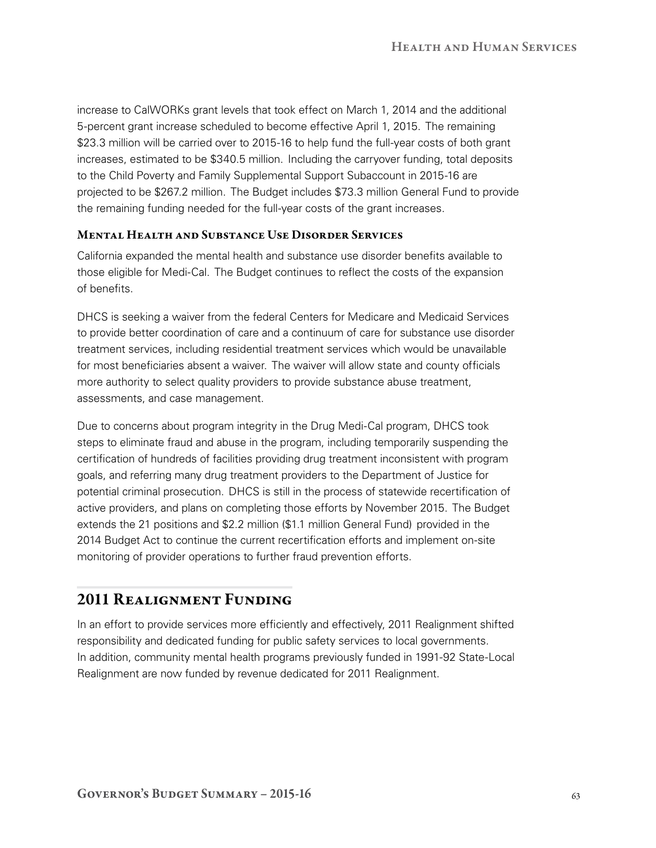increase to CalWORKs grant levels that took effect on March 1, 2014 and the additional 5‑percent grant increase scheduled to become effective April 1, 2015. The remaining \$23.3 million will be carried over to 2015-16 to help fund the full-year costs of both grant increases, estimated to be \$340.5 million. Including the carryover funding, total deposits to the Child Poverty and Family Supplemental Support Subaccount in 2015-16 are projected to be \$267.2 million. The Budget includes \$73.3 million General Fund to provide the remaining funding needed for the full-year costs of the grant increases.

#### Mental Health and Substance Use Disorder Services

California expanded the mental health and substance use disorder benefits available to those eligible for Medi‑Cal. The Budget continues to reflect the costs of the expansion of benefits.

DHCS is seeking a waiver from the federal Centers for Medicare and Medicaid Services to provide better coordination of care and a continuum of care for substance use disorder treatment services, including residential treatment services which would be unavailable for most beneficiaries absent a waiver. The waiver will allow state and county officials more authority to select quality providers to provide substance abuse treatment, assessments, and case management.

Due to concerns about program integrity in the Drug Medi‑Cal program, DHCS took steps to eliminate fraud and abuse in the program, including temporarily suspending the certification of hundreds of facilities providing drug treatment inconsistent with program goals, and referring many drug treatment providers to the Department of Justice for potential criminal prosecution. DHCS is still in the process of statewide recertification of active providers, and plans on completing those efforts by November 2015. The Budget extends the 21 positions and \$2.2 million (\$1.1 million General Fund) provided in the 2014 Budget Act to continue the current recertification efforts and implement on‑site monitoring of provider operations to further fraud prevention efforts.

## 2011 Realignment Funding

In an effort to provide services more efficiently and effectively, 2011 Realignment shifted responsibility and dedicated funding for public safety services to local governments. In addition, community mental health programs previously funded in 1991-92 State-Local Realignment are now funded by revenue dedicated for 2011 Realignment.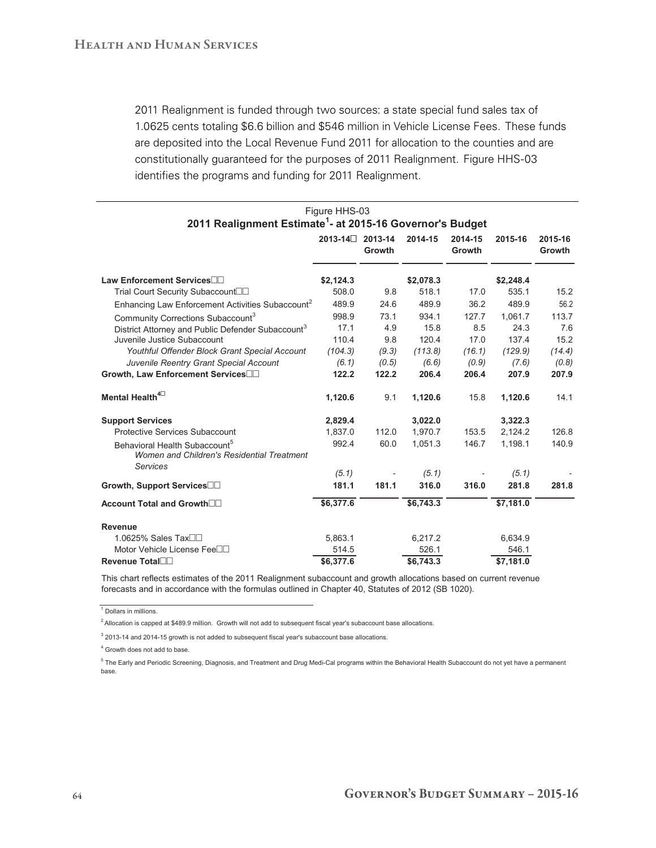2011 Realignment is funded through two sources: a state special fund sales tax of 1.0625 cents totaling \$6.6 billion and \$546 million in Vehicle License Fees. These funds are deposited into the Local Revenue Fund 2011 for allocation to the counties and are constitutionally guaranteed for the purposes of 2011 Realignment. Figure HHS‑03 identifies the programs and funding for 2011 Realignment.

| Figure HHS-03                                                                           |                 |        |           |                          |           |                          |  |  |
|-----------------------------------------------------------------------------------------|-----------------|--------|-----------|--------------------------|-----------|--------------------------|--|--|
| 2011 Realignment Estimate <sup>1</sup> - at 2015-16 Governor's Budget                   | 2013-14 2013-14 | Growth | 2014-15   | 2014-15<br><b>Growth</b> | 2015-16   | 2015-16<br><b>Growth</b> |  |  |
| Law Enforcement Services <sup>∩∩</sup>                                                  | \$2,124.3       |        | \$2,078.3 |                          | \$2,248.4 |                          |  |  |
| Trial Court Security Subaccount□□                                                       | 508.0           | 9.8    | 518.1     | 17.0                     | 535.1     | 15.2                     |  |  |
| Enhancing Law Enforcement Activities Subaccount <sup>2</sup>                            | 489.9           | 24.6   | 489.9     | 36.2                     | 489.9     | 56.2                     |  |  |
| Community Corrections Subaccount <sup>3</sup>                                           | 998.9           | 73.1   | 934.1     | 127.7                    | 1.061.7   | 113.7                    |  |  |
| District Attorney and Public Defender Subaccount <sup>3</sup>                           | 17.1            | 4.9    | 15.8      | 8.5                      | 24.3      | 7.6                      |  |  |
| Juvenile Justice Subaccount                                                             | 110.4           | 9.8    | 120.4     | 17.0                     | 137.4     | 15.2                     |  |  |
| Youthful Offender Block Grant Special Account                                           | (104.3)         | (9.3)  | (113.8)   | (16.1)                   | (129.9)   | (14.4)                   |  |  |
| Juvenile Reentry Grant Special Account                                                  | (6.1)           | (0.5)  | (6.6)     | (0.9)                    | (7.6)     | (0.8)                    |  |  |
| Growth, Law Enforcement Services                                                        | 122.2           | 122.2  | 206.4     | 206.4                    | 207.9     | 207.9                    |  |  |
| Mental Health <sup>40</sup>                                                             | 1,120.6         | 9.1    | 1,120.6   | 15.8                     | 1,120.6   | 14.1                     |  |  |
| <b>Support Services</b>                                                                 | 2,829.4         |        | 3,022.0   |                          | 3,322.3   |                          |  |  |
| Protective Services Subaccount                                                          | 1,837.0         | 112.0  | 1,970.7   | 153.5                    | 2,124.2   | 126.8                    |  |  |
| Behavioral Health Subaccount <sup>5</sup><br>Women and Children's Residential Treatment | 992.4           | 60.0   | 1,051.3   | 146.7                    | 1,198.1   | 140.9                    |  |  |
| <b>Services</b>                                                                         | (5.1)           |        | (5.1)     |                          | (5.1)     |                          |  |  |
| Growth, Support Services□□                                                              | 181.1           | 181.1  | 316.0     | 316.0                    | 281.8     | 281.8                    |  |  |
| Account Total and Growth□□                                                              | \$6,377.6       |        | \$6,743.3 |                          | \$7,181.0 |                          |  |  |
| <b>Revenue</b>                                                                          |                 |        |           |                          |           |                          |  |  |
| 1.0625% Sales Tax <sup></sup>                                                           | 5,863.1         |        | 6,217.2   |                          | 6,634.9   |                          |  |  |
| Motor Vehicle License Fee□□                                                             | 514.5           |        | 526.1     |                          | 546.1     |                          |  |  |
| Revenue Total <sup>n</sup>                                                              | \$6,377.6       |        | \$6,743.3 |                          | \$7,181.0 |                          |  |  |

This chart reflects estimates of the 2011 Realignment subaccount and growth allocations based on current revenue forecasts and in accordance with the formulas outlined in Chapter 40, Statutes of 2012 (SB 1020).

<sup>1</sup> Dollars in millions.

 $2$  Allocation is capped at \$489.9 million. Growth will not add to subsequent fiscal year's subaccount base allocations.

 $3$  2013-14 and 2014-15 growth is not added to subsequent fiscal year's subaccount base allocations.

4 Growth does not add to base.

<sup>5</sup> The Early and Periodic Screening, Diagnosis, and Treatment and Drug Medi-Cal programs within the Behavioral Health Subaccount do not yet have a permanent base.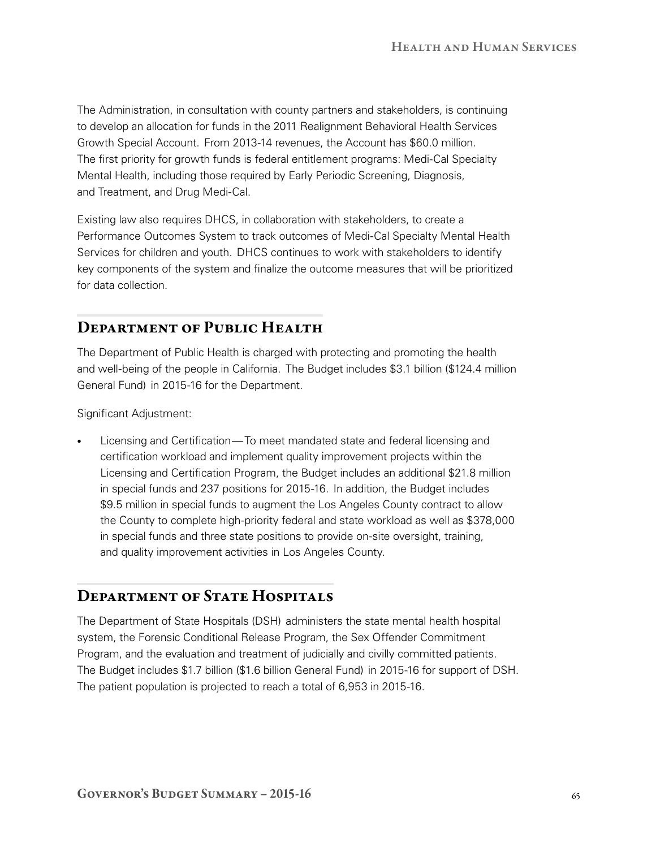The Administration, in consultation with county partners and stakeholders, is continuing to develop an allocation for funds in the 2011 Realignment Behavioral Health Services Growth Special Account. From 2013‑14 revenues, the Account has \$60.0 million. The first priority for growth funds is federal entitlement programs: Medi‑Cal Specialty Mental Health, including those required by Early Periodic Screening, Diagnosis, and Treatment, and Drug Medi-Cal.

Existing law also requires DHCS, in collaboration with stakeholders, to create a Performance Outcomes System to track outcomes of Medi‑Cal Specialty Mental Health Services for children and youth. DHCS continues to work with stakeholders to identify key components of the system and finalize the outcome measures that will be prioritized for data collection.

## DEPARTMENT OF PUBLIC HEALTH

The Department of Public Health is charged with protecting and promoting the health and well-being of the people in California. The Budget includes \$3.1 billion (\$124.4 million General Fund) in 2015‑16 for the Department.

Significant Adjustment:

Licensing and Certification—To meet mandated state and federal licensing and certification workload and implement quality improvement projects within the Licensing and Certification Program, the Budget includes an additional \$21.8 million in special funds and 237 positions for 2015‑16. In addition, the Budget includes \$9.5 million in special funds to augment the Los Angeles County contract to allow the County to complete high-priority federal and state workload as well as \$378,000 in special funds and three state positions to provide on‑site oversight, training, and quality improvement activities in Los Angeles County.

## DEPARTMENT OF STATE HOSPITALS

The Department of State Hospitals (DSH) administers the state mental health hospital system, the Forensic Conditional Release Program, the Sex Offender Commitment Program, and the evaluation and treatment of judicially and civilly committed patients. The Budget includes \$1.7 billion (\$1.6 billion General Fund) in 2015‑16 for support of DSH. The patient population is projected to reach a total of 6,953 in 2015-16.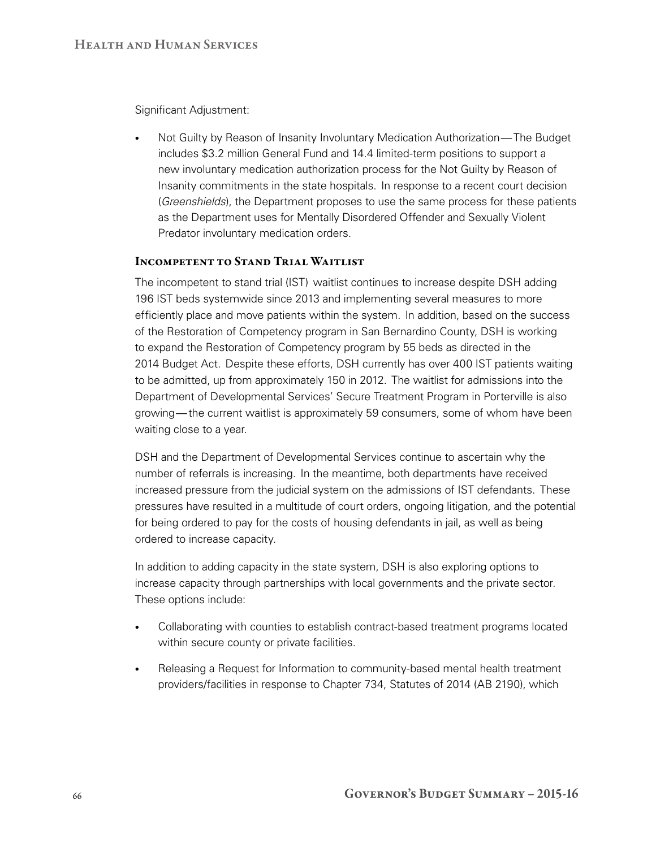Significant Adjustment:

Not Guilty by Reason of Insanity Involuntary Medication Authorization—The Budget includes \$3.2 million General Fund and 14.4 limited-term positions to support a new involuntary medication authorization process for the Not Guilty by Reason of Insanity commitments in the state hospitals. In response to a recent court decision (*Greenshields*), the Department proposes to use the same process for these patients as the Department uses for Mentally Disordered Offender and Sexually Violent Predator involuntary medication orders.

## Incompetent to Stand Trial Waitlist

The incompetent to stand trial (IST) waitlist continues to increase despite DSH adding 196 IST beds systemwide since 2013 and implementing several measures to more efficiently place and move patients within the system. In addition, based on the success of the Restoration of Competency program in San Bernardino County, DSH is working to expand the Restoration of Competency program by 55 beds as directed in the 2014 Budget Act. Despite these efforts, DSH currently has over 400 IST patients waiting to be admitted, up from approximately 150 in 2012. The waitlist for admissions into the Department of Developmental Services' Secure Treatment Program in Porterville is also growing—the current waitlist is approximately 59 consumers, some of whom have been waiting close to a year.

DSH and the Department of Developmental Services continue to ascertain why the number of referrals is increasing. In the meantime, both departments have received increased pressure from the judicial system on the admissions of IST defendants. These pressures have resulted in a multitude of court orders, ongoing litigation, and the potential for being ordered to pay for the costs of housing defendants in jail, as well as being ordered to increase capacity.

In addition to adding capacity in the state system, DSH is also exploring options to increase capacity through partnerships with local governments and the private sector. These options include:

- Collaborating with counties to establish contract-based treatment programs located within secure county or private facilities.
- Releasing a Request for Information to community-based mental health treatment providers/facilities in response to Chapter 734, Statutes of 2014 (AB 2190), which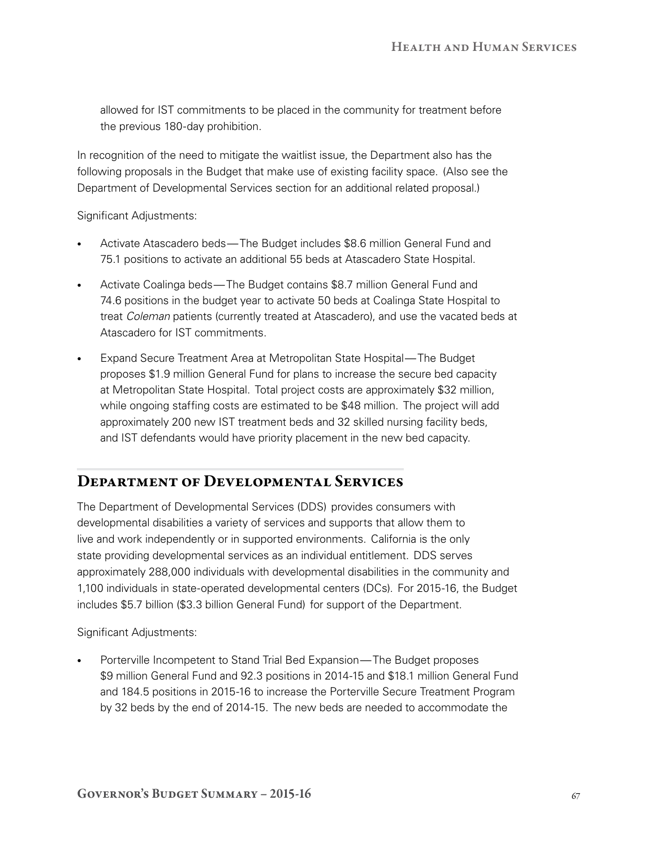allowed for IST commitments to be placed in the community for treatment before the previous 180‑day prohibition.

In recognition of the need to mitigate the waitlist issue, the Department also has the following proposals in the Budget that make use of existing facility space. (Also see the Department of Developmental Services section for an additional related proposal.)

Significant Adjustments:

- Activate Atascadero beds—The Budget includes \$8.6 million General Fund and 75.1 positions to activate an additional 55 beds at Atascadero State Hospital.
- Activate Coalinga beds—The Budget contains \$8.7 million General Fund and 74.6 positions in the budget year to activate 50 beds at Coalinga State Hospital to treat *Coleman* patients (currently treated at Atascadero), and use the vacated beds at Atascadero for IST commitments.
- Expand Secure Treatment Area at Metropolitan State Hospital—The Budget proposes \$1.9 million General Fund for plans to increase the secure bed capacity at Metropolitan State Hospital. Total project costs are approximately \$32 million, while ongoing staffing costs are estimated to be \$48 million. The project will add approximately 200 new IST treatment beds and 32 skilled nursing facility beds, and IST defendants would have priority placement in the new bed capacity.

## Department of Developmental Services

The Department of Developmental Services (DDS) provides consumers with developmental disabilities a variety of services and supports that allow them to live and work independently or in supported environments. California is the only state providing developmental services as an individual entitlement. DDS serves approximately 288,000 individuals with developmental disabilities in the community and 1,100 individuals in state-operated developmental centers (DCs). For 2015-16, the Budget includes \$5.7 billion (\$3.3 billion General Fund) for support of the Department.

Significant Adjustments:

Porterville Incompetent to Stand Trial Bed Expansion—The Budget proposes \$9 million General Fund and 92.3 positions in 2014‑15 and \$18.1 million General Fund and 184.5 positions in 2015‑16 to increase the Porterville Secure Treatment Program by 32 beds by the end of 2014‑15. The new beds are needed to accommodate the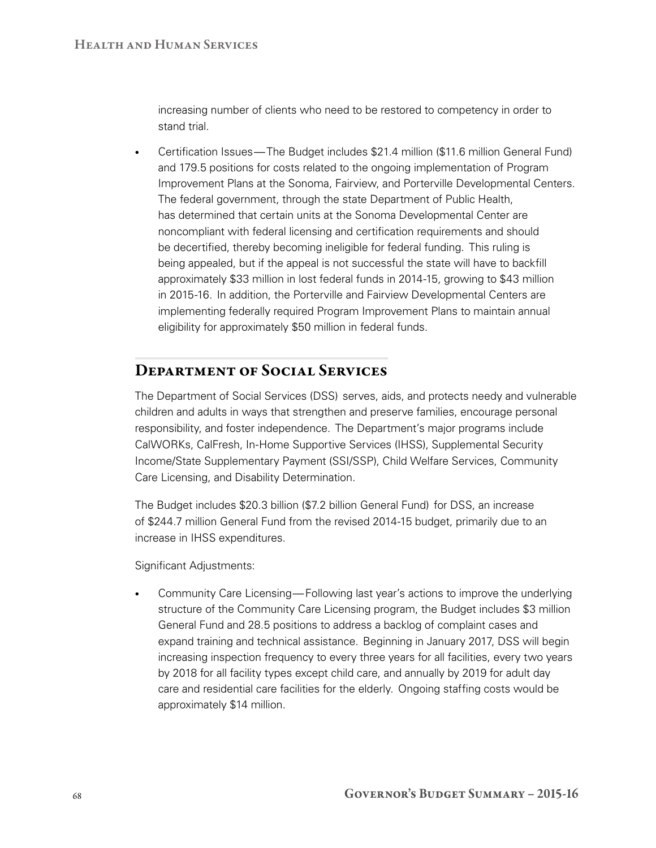increasing number of clients who need to be restored to competency in order to stand trial.

• Certification Issues—The Budget includes \$21.4 million (\$11.6 million General Fund) and 179.5 positions for costs related to the ongoing implementation of Program Improvement Plans at the Sonoma, Fairview, and Porterville Developmental Centers. The federal government, through the state Department of Public Health, has determined that certain units at the Sonoma Developmental Center are noncompliant with federal licensing and certification requirements and should be decertified, thereby becoming ineligible for federal funding. This ruling is being appealed, but if the appeal is not successful the state will have to backfill approximately \$33 million in lost federal funds in 2014‑15, growing to \$43 million in 2015-16. In addition, the Porterville and Fairview Developmental Centers are implementing federally required Program Improvement Plans to maintain annual eligibility for approximately \$50 million in federal funds.

## Department of Social Services

The Department of Social Services (DSS) serves, aids, and protects needy and vulnerable children and adults in ways that strengthen and preserve families, encourage personal responsibility, and foster independence. The Department's major programs include CalWORKs, CalFresh, In‑Home Supportive Services (IHSS), Supplemental Security Income/State Supplementary Payment (SSI/SSP), Child Welfare Services, Community Care Licensing, and Disability Determination.

The Budget includes \$20.3 billion (\$7.2 billion General Fund) for DSS, an increase of \$244.7 million General Fund from the revised 2014‑15 budget, primarily due to an increase in IHSS expenditures.

Significant Adjustments:

Community Care Licensing—Following last year's actions to improve the underlying structure of the Community Care Licensing program, the Budget includes \$3 million General Fund and 28.5 positions to address a backlog of complaint cases and expand training and technical assistance. Beginning in January 2017, DSS will begin increasing inspection frequency to every three years for all facilities, every two years by 2018 for all facility types except child care, and annually by 2019 for adult day care and residential care facilities for the elderly. Ongoing staffing costs would be approximately \$14 million.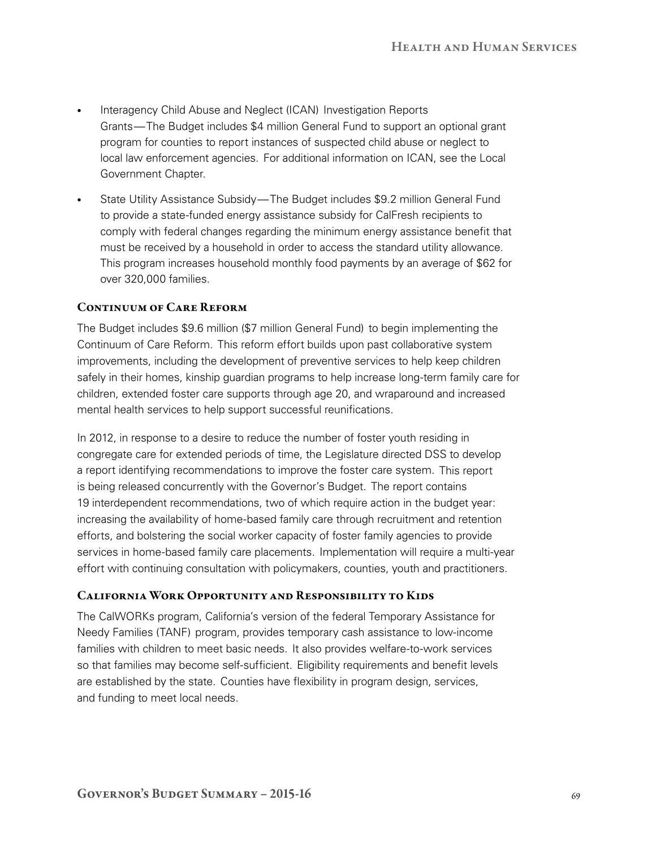- Interagency Child Abuse and Neglect (ICAN) Investigation Reports Grants—The Budget includes \$4 million General Fund to support an optional grant program for counties to report instances of suspected child abuse or neglect to local law enforcement agencies. For additional information on ICAN, see the Local Government Chapter.
- State Utility Assistance Subsidy—The Budget includes \$9.2 million General Fund to provide a state-funded energy assistance subsidy for CalFresh recipients to comply with federal changes regarding the minimum energy assistance benefit that must be received by a household in order to access the standard utility allowance. This program increases household monthly food payments by an average of \$62 for over 320,000 families.

## CONTINUUM OF CARE REFORM

The Budget includes \$9.6 million (\$7 million General Fund) to begin implementing the Continuum of Care Reform. This reform effort builds upon past collaborative system improvements, including the development of preventive services to help keep children safely in their homes, kinship guardian programs to help increase long-term family care for children, extended foster care supports through age 20, and wraparound and increased mental health services to help support successful reunifications.

In 2012, in response to a desire to reduce the number of foster youth residing in congregate care for extended periods of time, the Legislature directed DSS to develop a report identifying recommendations to improve the foster care system. This report is being released concurrently with the Governor's Budget. The report contains 19 interdependent recommendations, two of which require action in the budget year: increasing the availability of home-based family care through recruitment and retention efforts, and bolstering the social worker capacity of foster family agencies to provide services in home-based family care placements. Implementation will require a multi-year effort with continuing consultation with policymakers, counties, youth and practitioners.

## California Work Opportunity and Responsibility to Kids

The CalWORKs program, California's version of the federal Temporary Assistance for Needy Families (TANF) program, provides temporary cash assistance to low‑income families with children to meet basic needs. It also provides welfare-to-work services so that families may become self-sufficient. Eligibility requirements and benefit levels are established by the state. Counties have flexibility in program design, services, and funding to meet local needs.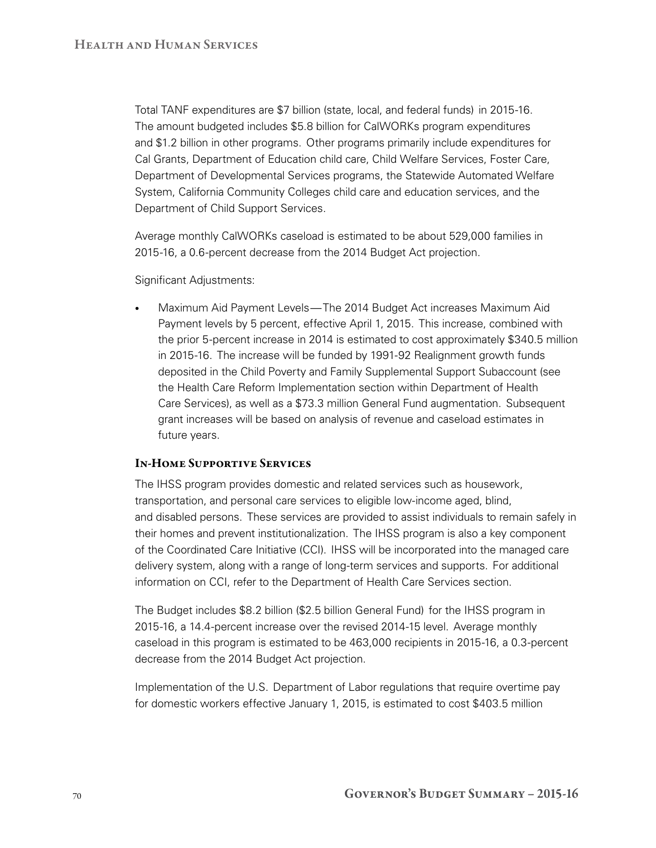Total TANF expenditures are \$7 billion (state, local, and federal funds) in 2015‑16. The amount budgeted includes \$5.8 billion for CalWORKs program expenditures and \$1.2 billion in other programs. Other programs primarily include expenditures for Cal Grants, Department of Education child care, Child Welfare Services, Foster Care, Department of Developmental Services programs, the Statewide Automated Welfare System, California Community Colleges child care and education services, and the Department of Child Support Services.

Average monthly CalWORKs caseload is estimated to be about 529,000 families in 2015‑16, a 0.6‑percent decrease from the 2014 Budget Act projection.

Significant Adjustments:

Maximum Aid Payment Levels—The 2014 Budget Act increases Maximum Aid Payment levels by 5 percent, effective April 1, 2015. This increase, combined with the prior 5‑percent increase in 2014 is estimated to cost approximately \$340.5 million in 2015‑16. The increase will be funded by 1991‑92 Realignment growth funds deposited in the Child Poverty and Family Supplemental Support Subaccount (see the Health Care Reform Implementation section within Department of Health Care Services), as well as a \$73.3 million General Fund augmentation. Subsequent grant increases will be based on analysis of revenue and caseload estimates in future years.

## In-Home Supportive Services

The IHSS program provides domestic and related services such as housework, transportation, and personal care services to eligible low‑income aged, blind, and disabled persons. These services are provided to assist individuals to remain safely in their homes and prevent institutionalization. The IHSS program is also a key component of the Coordinated Care Initiative (CCI). IHSS will be incorporated into the managed care delivery system, along with a range of long-term services and supports. For additional information on CCI, refer to the Department of Health Care Services section.

The Budget includes \$8.2 billion (\$2.5 billion General Fund) for the IHSS program in 2015‑16, a 14.4‑percent increase over the revised 2014‑15 level. Average monthly caseload in this program is estimated to be 463,000 recipients in 2015‑16, a 0.3‑percent decrease from the 2014 Budget Act projection.

Implementation of the U.S. Department of Labor regulations that require overtime pay for domestic workers effective January 1, 2015, is estimated to cost \$403.5 million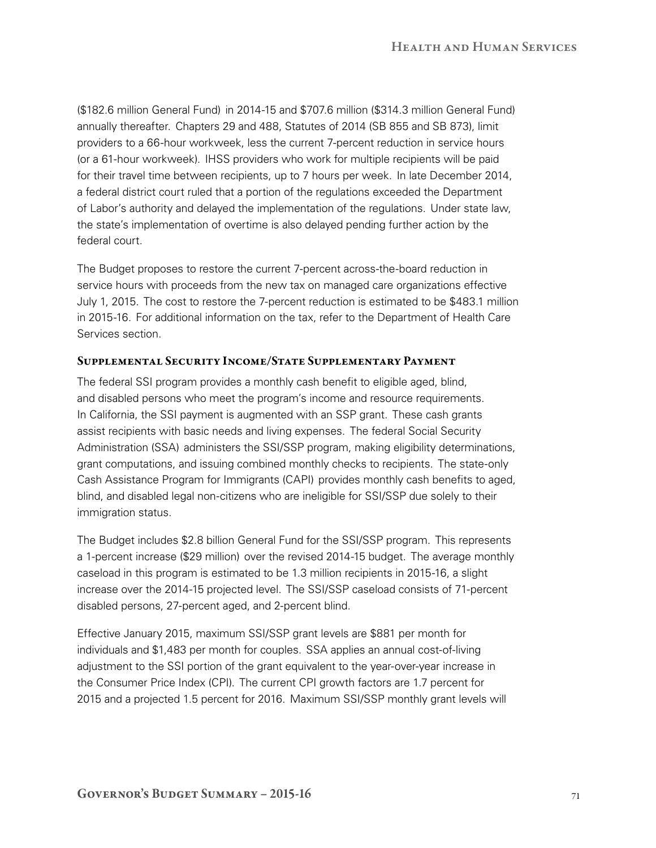(\$182.6 million General Fund) in 2014‑15 and \$707.6 million (\$314.3 million General Fund) annually thereafter. Chapters 29 and 488, Statutes of 2014 (SB 855 and SB 873), limit providers to a 66‑hour workweek, less the current 7‑percent reduction in service hours (or a 61‑hour workweek). IHSS providers who work for multiple recipients will be paid for their travel time between recipients, up to 7 hours per week. In late December 2014, a federal district court ruled that a portion of the regulations exceeded the Department of Labor's authority and delayed the implementation of the regulations. Under state law, the state's implementation of overtime is also delayed pending further action by the federal court.

The Budget proposes to restore the current 7-percent across-the-board reduction in service hours with proceeds from the new tax on managed care organizations effective July 1, 2015. The cost to restore the 7‑percent reduction is estimated to be \$483.1 million in 2015-16. For additional information on the tax, refer to the Department of Health Care Services section.

## Supplemental Security Income/State Supplementary Payment

The federal SSI program provides a monthly cash benefit to eligible aged, blind, and disabled persons who meet the program's income and resource requirements. In California, the SSI payment is augmented with an SSP grant. These cash grants assist recipients with basic needs and living expenses. The federal Social Security Administration (SSA) administers the SSI/SSP program, making eligibility determinations, grant computations, and issuing combined monthly checks to recipients. The state-only Cash Assistance Program for Immigrants (CAPI) provides monthly cash benefits to aged, blind, and disabled legal non-citizens who are ineligible for SSI/SSP due solely to their immigration status.

The Budget includes \$2.8 billion General Fund for the SSI/SSP program. This represents a 1‑percent increase (\$29 million) over the revised 2014‑15 budget. The average monthly caseload in this program is estimated to be 1.3 million recipients in 2015‑16, a slight increase over the 2014-15 projected level. The SSI/SSP caseload consists of 71-percent disabled persons, 27‑percent aged, and 2‑percent blind.

Effective January 2015, maximum SSI/SSP grant levels are \$881 per month for individuals and \$1,483 per month for couples. SSA applies an annual cost-of-living adjustment to the SSI portion of the grant equivalent to the year-over-year increase in the Consumer Price Index (CPI). The current CPI growth factors are 1.7 percent for 2015 and a projected 1.5 percent for 2016. Maximum SSI/SSP monthly grant levels will